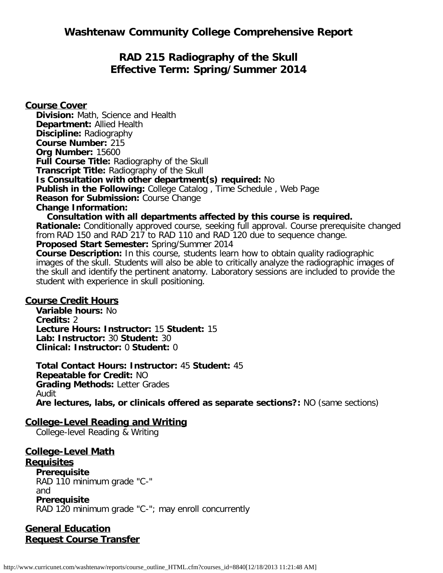**Washtenaw Community College Comprehensive Report**

# **RAD 215 Radiography of the Skull Effective Term: Spring/Summer 2014**

**Course Cover Division:** Math, Science and Health **Department:** Allied Health **Discipline:** Radiography **Course Number:** 215 **Org Number:** 15600 **Full Course Title:** Radiography of the Skull **Transcript Title:** Radiography of the Skull **Is Consultation with other department(s) required:** No **Publish in the Following:** College Catalog , Time Schedule , Web Page **Reason for Submission:** Course Change **Change Information: Consultation with all departments affected by this course is required.**

**Rationale:** Conditionally approved course, seeking full approval. Course prerequisite changed from RAD 150 and RAD 217 to RAD 110 and RAD 120 due to sequence change.

**Proposed Start Semester:** Spring/Summer 2014

**Course Description:** In this course, students learn how to obtain quality radiographic images of the skull. Students will also be able to critically analyze the radiographic images of the skull and identify the pertinent anatomy. Laboratory sessions are included to provide the student with experience in skull positioning.

#### **Course Credit Hours**

**Variable hours:** No **Credits:** 2 **Lecture Hours: Instructor:** 15 **Student:** 15 **Lab: Instructor:** 30 **Student:** 30 **Clinical: Instructor:** 0 **Student:** 0

**Total Contact Hours: Instructor:** 45 **Student:** 45 **Repeatable for Credit:** NO **Grading Methods:** Letter Grades Audit **Are lectures, labs, or clinicals offered as separate sections?:** NO (same sections)

### **College-Level Reading and Writing**

College-level Reading & Writing

# **College-Level Math**

**Requisites**

**Prerequisite** RAD 110 minimum grade "C-" and **Prerequisite** RAD 120 minimum grade "C-"; may enroll concurrently

**General Education Request Course Transfer**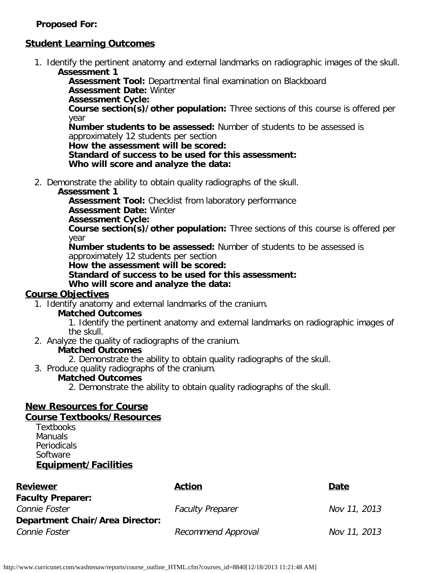### **Proposed For:**

# **Student Learning Outcomes**

1. Identify the pertinent anatomy and external landmarks on radiographic images of the skull. **Assessment 1**

**Assessment Tool:** Departmental final examination on Blackboard **Assessment Date:** Winter

**Assessment Cycle:**

**Course section(s)/other population:** Three sections of this course is offered per year

**Number students to be assessed:** Number of students to be assessed is approximately 12 students per section

**How the assessment will be scored:**

**Standard of success to be used for this assessment: Who will score and analyze the data:**

2. Demonstrate the ability to obtain quality radiographs of the skull.

### **Assessment 1**

**Assessment Tool:** Checklist from laboratory performance

**Assessment Date:** Winter

### **Assessment Cycle:**

**Course section(s)/other population:** Three sections of this course is offered per year

**Number students to be assessed:** Number of students to be assessed is approximately 12 students per section

**How the assessment will be scored:**

**Standard of success to be used for this assessment:**

**Who will score and analyze the data:**

# **Course Objectives**

1. Identify anatomy and external landmarks of the cranium.

### **Matched Outcomes**

1. Identify the pertinent anatomy and external landmarks on radiographic images of the skull.

2. Analyze the quality of radiographs of the cranium.

### **Matched Outcomes**

2. Demonstrate the ability to obtain quality radiographs of the skull.

3. Produce quality radiographs of the cranium.

### **Matched Outcomes**

2. Demonstrate the ability to obtain quality radiographs of the skull.

#### **New Resources for Course Course Textbooks/Resources**

**Textbooks** Manuals Periodicals **Software Equipment/Facilities**

| <b>Action</b>           | Date         |
|-------------------------|--------------|
|                         |              |
| <b>Faculty Preparer</b> | Nov 11, 2013 |
|                         |              |
| Recommend Approval      | Nov 11, 2013 |
|                         |              |